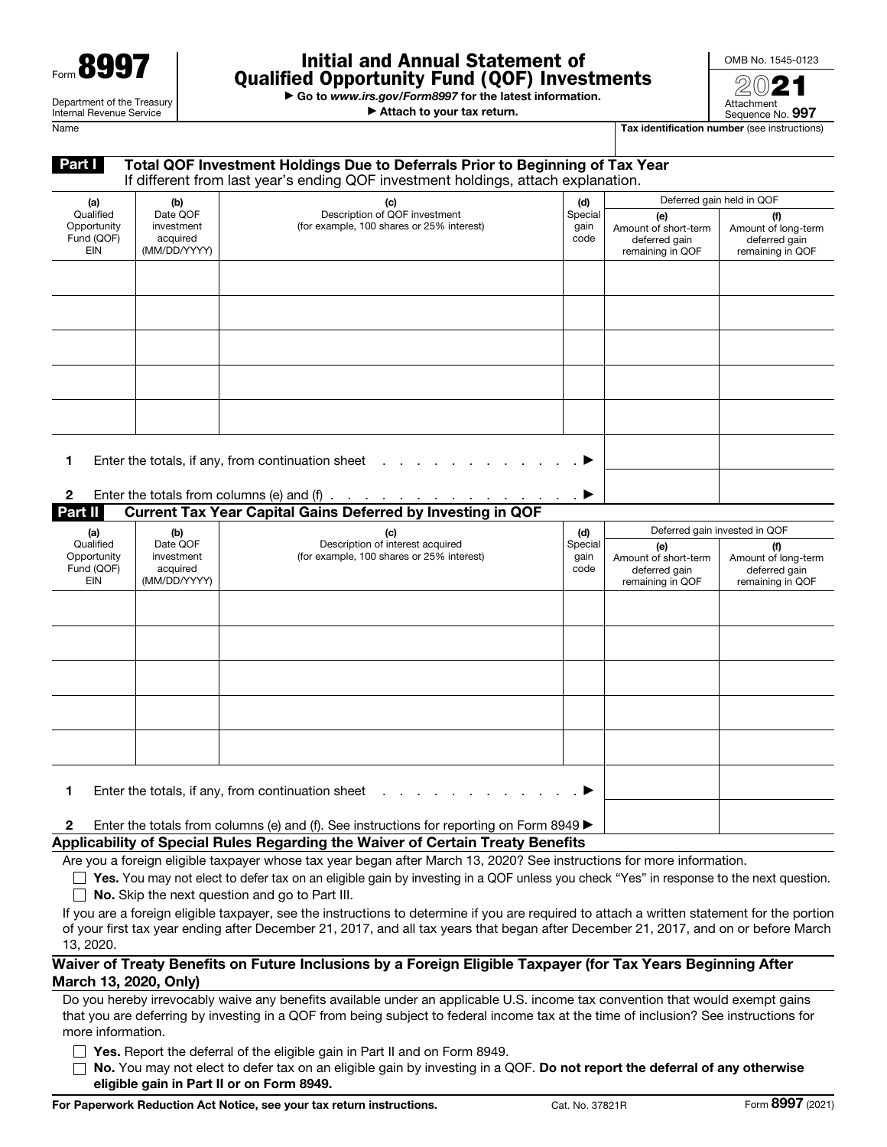| - Y<br>Form $\blacksquare$                                    |
|---------------------------------------------------------------|
| Department of the Treasury<br><b>Internal Revenue Service</b> |

## Initial and Annual Statement of Qualified Opportunity Fund (QOF) Investments

▶ Go to *www.irs.gov/Form8997* for the latest information.

▶ Attach to your tax return.



Sequence No. 997 Name Tax identification number (see instructions)

Attachment

| Part I                                               |                                                    | Total QOF Investment Holdings Due to Deferrals Prior to Beginning of Tax Year<br>If different from last year's ending QOF investment holdings, attach explanation.                                                                                                                                                                                                                                                                                                                                                                                                                                      |                         |                                                                  |                                                                 |
|------------------------------------------------------|----------------------------------------------------|---------------------------------------------------------------------------------------------------------------------------------------------------------------------------------------------------------------------------------------------------------------------------------------------------------------------------------------------------------------------------------------------------------------------------------------------------------------------------------------------------------------------------------------------------------------------------------------------------------|-------------------------|------------------------------------------------------------------|-----------------------------------------------------------------|
| (a)                                                  | (b)                                                | (c)                                                                                                                                                                                                                                                                                                                                                                                                                                                                                                                                                                                                     | (d)                     |                                                                  | Deferred gain held in QOF                                       |
| Qualified<br>Opportunity<br>Fund (QOF)<br><b>EIN</b> | Date QOF<br>investment<br>acquired<br>(MM/DD/YYYY) | Description of QOF investment<br>(for example, 100 shares or 25% interest)                                                                                                                                                                                                                                                                                                                                                                                                                                                                                                                              | Special<br>gain<br>code | (e)<br>Amount of short-term<br>deferred gain<br>remaining in QOF | (f)<br>Amount of long-term<br>deferred gain<br>remaining in QOF |
|                                                      |                                                    |                                                                                                                                                                                                                                                                                                                                                                                                                                                                                                                                                                                                         |                         |                                                                  |                                                                 |
|                                                      |                                                    |                                                                                                                                                                                                                                                                                                                                                                                                                                                                                                                                                                                                         |                         |                                                                  |                                                                 |
| 1<br>$\mathbf{2}$<br>Part II                         |                                                    | Enter the totals, if any, from continuation sheet<br>Enter the totals from columns (e) and (f) $\ldots$ $\ldots$ $\ldots$ $\ldots$<br><b>Current Tax Year Capital Gains Deferred by Investing in QOF</b>                                                                                                                                                                                                                                                                                                                                                                                                |                         |                                                                  |                                                                 |
| (a)                                                  | (b)                                                | (c)                                                                                                                                                                                                                                                                                                                                                                                                                                                                                                                                                                                                     | (d)                     | Deferred gain invested in QOF                                    |                                                                 |
| Qualified<br>Opportunity<br>Fund (QOF)<br><b>EIN</b> | Date QOF<br>investment<br>acquired<br>(MM/DD/YYYY) | Description of interest acquired<br>(for example, 100 shares or 25% interest)                                                                                                                                                                                                                                                                                                                                                                                                                                                                                                                           | Special<br>gain<br>code | (e)<br>Amount of short-term<br>deferred gain<br>remaining in QOF | (f)<br>Amount of long-term<br>deferred gain<br>remaining in QOF |
|                                                      |                                                    |                                                                                                                                                                                                                                                                                                                                                                                                                                                                                                                                                                                                         |                         |                                                                  |                                                                 |
| $\mathbf{2}$                                         |                                                    | Enter the totals, if any, from continuation sheet $\ldots$ .<br>Enter the totals from columns (e) and (f). See instructions for reporting on Form 8949 $\blacktriangleright$                                                                                                                                                                                                                                                                                                                                                                                                                            |                         |                                                                  |                                                                 |
|                                                      |                                                    | Applicability of Special Rules Regarding the Waiver of Certain Treaty Benefits                                                                                                                                                                                                                                                                                                                                                                                                                                                                                                                          |                         |                                                                  |                                                                 |
| 13, 2020.                                            |                                                    | Are you a foreign eligible taxpayer whose tax year began after March 13, 2020? See instructions for more information.<br>Yes. You may not elect to defer tax on an eligible gain by investing in a QOF unless you check "Yes" in response to the next question.<br>No. Skip the next question and go to Part III.<br>If you are a foreign eligible taxpayer, see the instructions to determine if you are required to attach a written statement for the portion<br>of your first tax year ending after December 21, 2017, and all tax years that began after December 21, 2017, and on or before March |                         |                                                                  |                                                                 |
| March 13, 2020, Only)                                |                                                    | Waiver of Treaty Benefits on Future Inclusions by a Foreign Eligible Taxpayer (for Tax Years Beginning After                                                                                                                                                                                                                                                                                                                                                                                                                                                                                            |                         |                                                                  |                                                                 |

Do you hereby irrevocably waive any benefits available under an applicable U.S. income tax convention that would exempt gains that you are deferring by investing in a QOF from being subject to federal income tax at the time of inclusion? See instructions for more information.

 $\Box$  Yes. Report the deferral of the eligible gain in Part II and on Form 8949.

 $\Box$  No. You may not elect to defer tax on an eligible gain by investing in a QOF. Do not report the deferral of any otherwise eligible gain in Part II or on Form 8949.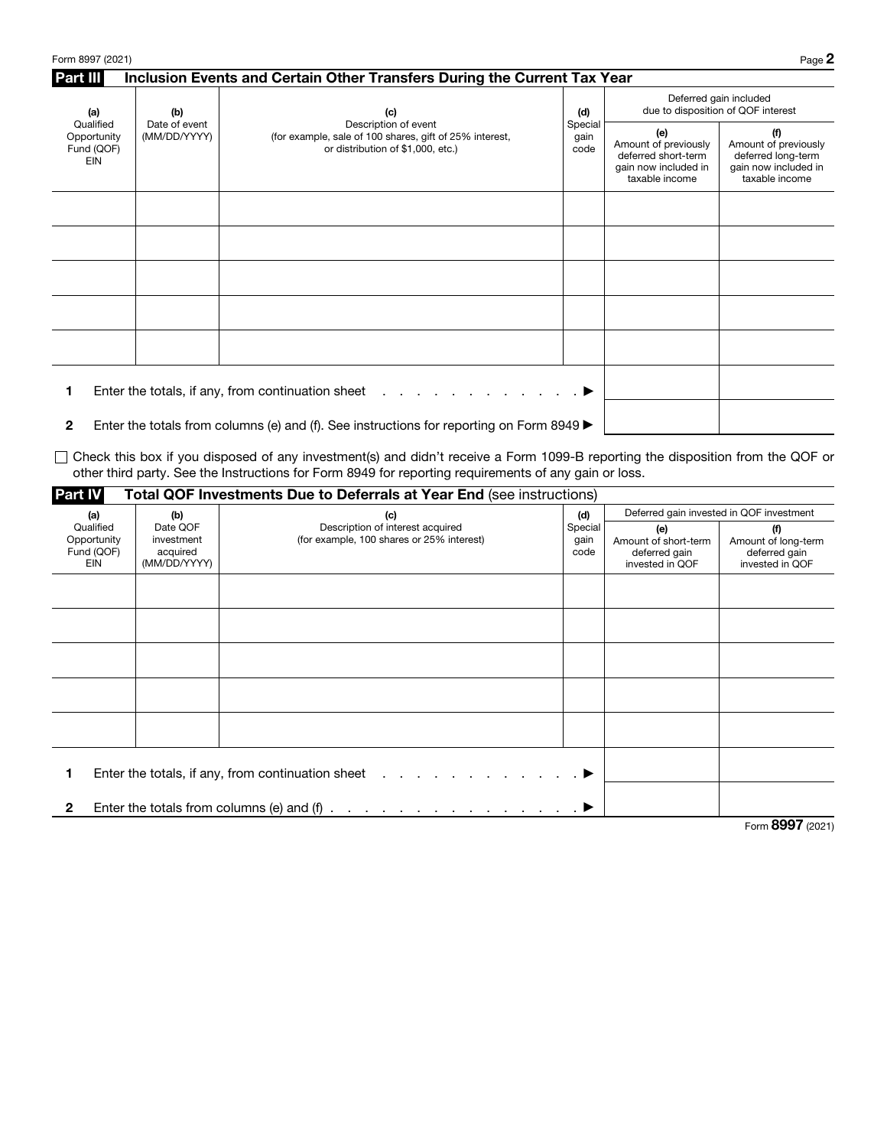| Part III<br>Inclusion Events and Certain Other Transfers During the Current Tax Year |                               |                                                                                                                      |                                |                                                                                              |                                                                                             |
|--------------------------------------------------------------------------------------|-------------------------------|----------------------------------------------------------------------------------------------------------------------|--------------------------------|----------------------------------------------------------------------------------------------|---------------------------------------------------------------------------------------------|
| (a)<br>(b)                                                                           |                               | (c)                                                                                                                  | (d)<br>Special<br>gain<br>code | Deferred gain included<br>due to disposition of QOF interest                                 |                                                                                             |
| Qualified<br>Opportunity<br>Fund (QOF)<br>EIN                                        | Date of event<br>(MM/DD/YYYY) | Description of event<br>(for example, sale of 100 shares, gift of 25% interest,<br>or distribution of \$1,000, etc.) |                                | (e)<br>Amount of previously<br>deferred short-term<br>gain now included in<br>taxable income | (f)<br>Amount of previously<br>deferred long-term<br>gain now included in<br>taxable income |
|                                                                                      |                               |                                                                                                                      |                                |                                                                                              |                                                                                             |
|                                                                                      |                               |                                                                                                                      |                                |                                                                                              |                                                                                             |
|                                                                                      |                               |                                                                                                                      |                                |                                                                                              |                                                                                             |
|                                                                                      |                               |                                                                                                                      |                                |                                                                                              |                                                                                             |
|                                                                                      |                               |                                                                                                                      |                                |                                                                                              |                                                                                             |
| Enter the totals, if any, from continuation sheet                                    |                               |                                                                                                                      |                                |                                                                                              |                                                                                             |
|                                                                                      |                               |                                                                                                                      |                                |                                                                                              |                                                                                             |

2 Enter the totals from columns (e) and (f). See instructions for reporting on Form 8949  $\blacktriangleright$ 

Check this box if you disposed of any investment(s) and didn't receive a Form 1099-B reporting the disposition from the QOF or other third party. See the Instructions for Form 8949 for reporting requirements of any gain or loss.

| <b>Part IV</b>                                       |                                                    | <b>Total QOF Investments Due to Deferrals at Year End (see instructions)</b>                      |                         |                                                                 |                                                                |
|------------------------------------------------------|----------------------------------------------------|---------------------------------------------------------------------------------------------------|-------------------------|-----------------------------------------------------------------|----------------------------------------------------------------|
| (a)                                                  | (b)                                                | (c)                                                                                               | (d)                     | Deferred gain invested in QOF investment                        |                                                                |
| Qualified<br>Opportunity<br>Fund (QOF)<br><b>EIN</b> | Date QOF<br>investment<br>acquired<br>(MM/DD/YYYY) | Description of interest acquired<br>(for example, 100 shares or 25% interest)                     | Special<br>gain<br>code | (e)<br>Amount of short-term<br>deferred gain<br>invested in QOF | (f)<br>Amount of long-term<br>deferred gain<br>invested in QOF |
|                                                      |                                                    |                                                                                                   |                         |                                                                 |                                                                |
|                                                      |                                                    |                                                                                                   |                         |                                                                 |                                                                |
|                                                      |                                                    |                                                                                                   |                         |                                                                 |                                                                |
|                                                      |                                                    |                                                                                                   |                         |                                                                 |                                                                |
|                                                      |                                                    |                                                                                                   |                         |                                                                 |                                                                |
|                                                      |                                                    | Enter the totals, if any, from continuation sheet $\ldots$ , $\ldots$ , $\ldots$ , $\blacksquare$ |                         |                                                                 |                                                                |
| $\mathbf{2}$                                         |                                                    | Enter the totals from columns (e) and (f) $\ldots$ $\ldots$ $\ldots$ $\ldots$ $\ldots$ $\ldots$   |                         |                                                                 |                                                                |

Form 8997 (2021)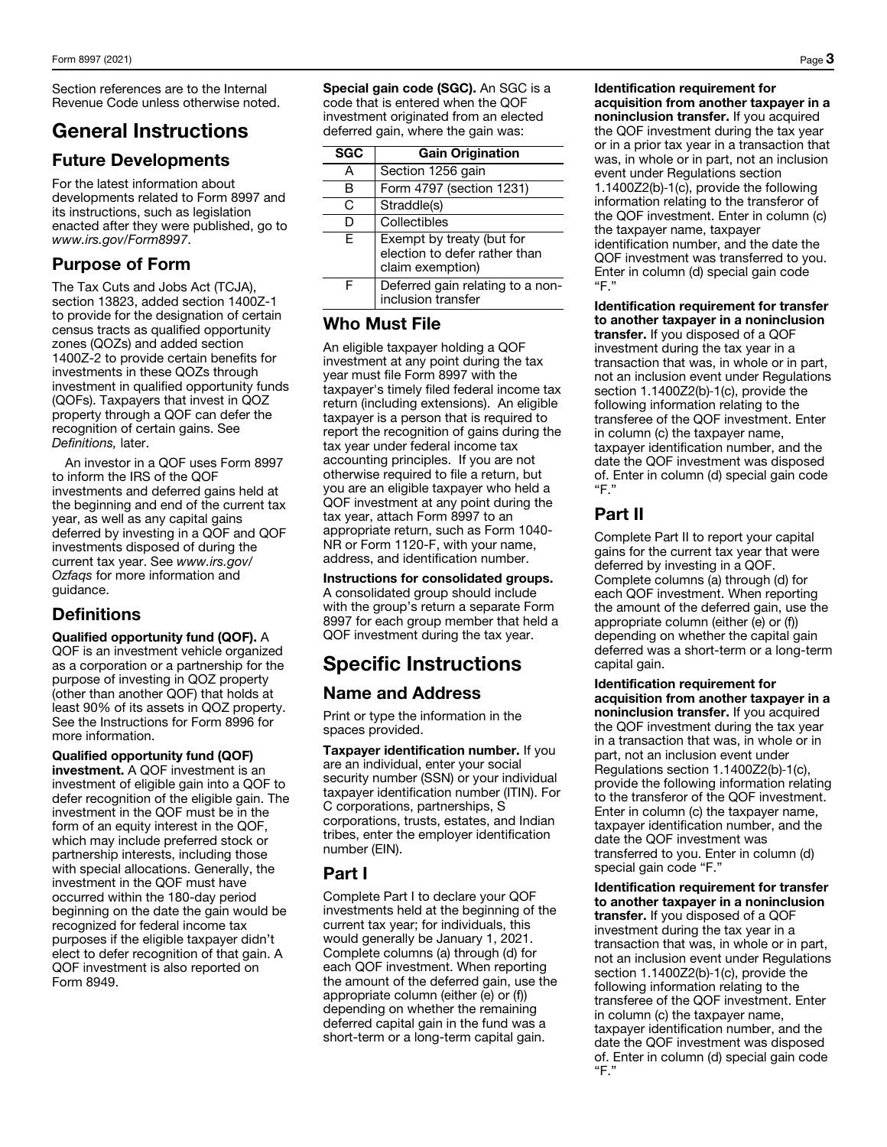Section references are to the Internal Revenue Code unless otherwise noted.

## General Instructions

#### Future Developments

For the latest information about developments related to Form 8997 and its instructions, such as legislation enacted after they were published, go to *www.irs.gov/Form8997*.

#### Purpose of Form

The Tax Cuts and Jobs Act (TCJA), section 13823, added section 1400Z-1 to provide for the designation of certain census tracts as qualified opportunity zones (QOZs) and added section 1400Z-2 to provide certain benefits for investments in these QOZs through investment in qualified opportunity funds (QOFs). Taxpayers that invest in QOZ property through a QOF can defer the recognition of certain gains. See *Definitions,* later.

An investor in a QOF uses Form 8997 to inform the IRS of the QOF investments and deferred gains held at the beginning and end of the current tax year, as well as any capital gains deferred by investing in a QOF and QOF investments disposed of during the current tax year. See *www.irs.gov/ Ozfaqs* for more information and guidance.

## Definitions

Qualified opportunity fund (QOF). A QOF is an investment vehicle organized as a corporation or a partnership for the purpose of investing in QOZ property (other than another QOF) that holds at least 90% of its assets in QOZ property. See the Instructions for Form 8996 for more information.

Qualified opportunity fund (QOF) investment. A QOF investment is an investment of eligible gain into a QOF to defer recognition of the eligible gain. The investment in the QOF must be in the form of an equity interest in the QOF, which may include preferred stock or partnership interests, including those with special allocations. Generally, the investment in the QOF must have occurred within the 180-day period beginning on the date the gain would be recognized for federal income tax purposes if the eligible taxpayer didn't elect to defer recognition of that gain. A QOF investment is also reported on Form 8949.

Special gain code (SGC). An SGC is a code that is entered when the QOF investment originated from an elected deferred gain, where the gain was:

| <b>SGC</b> | <b>Gain Origination</b>                                                        |
|------------|--------------------------------------------------------------------------------|
| А          | Section 1256 gain                                                              |
| в          | Form 4797 (section 1231)                                                       |
| C          | Straddle(s)                                                                    |
| D          | Collectibles                                                                   |
| F          | Exempt by treaty (but for<br>election to defer rather than<br>claim exemption) |
| F          | Deferred gain relating to a non-<br>inclusion transfer                         |

#### Who Must File

An eligible taxpayer holding a QOF investment at any point during the tax year must file Form 8997 with the taxpayer's timely filed federal income tax return (including extensions). An eligible taxpayer is a person that is required to report the recognition of gains during the tax year under federal income tax accounting principles. If you are not otherwise required to file a return, but you are an eligible taxpayer who held a QOF investment at any point during the tax year, attach Form 8997 to an appropriate return, such as Form 1040- NR or Form 1120-F, with your name, address, and identification number.

Instructions for consolidated groups. A consolidated group should include with the group's return a separate Form 8997 for each group member that held a QOF investment during the tax year.

# Specific Instructions

#### Name and Address

Print or type the information in the spaces provided.

Taxpayer identification number. If you are an individual, enter your social security number (SSN) or your individual taxpayer identification number (ITIN). For C corporations, partnerships, S corporations, trusts, estates, and Indian tribes, enter the employer identification number (EIN).

#### Part I

Complete Part I to declare your QOF investments held at the beginning of the current tax year; for individuals, this would generally be January 1, 2021. Complete columns (a) through (d) for each QOF investment. When reporting the amount of the deferred gain, use the appropriate column (either (e) or (f)) depending on whether the remaining deferred capital gain in the fund was a short-term or a long-term capital gain.

Identification requirement for acquisition from another taxpayer in a noninclusion transfer. If you acquired the QOF investment during the tax year or in a prior tax year in a transaction that was, in whole or in part, not an inclusion event under Regulations section 1.1400Z2(b)‐1(c), provide the following information relating to the transferor of the QOF investment. Enter in column (c) the taxpayer name, taxpayer identification number, and the date the QOF investment was transferred to you. Enter in column (d) special gain code "F."

Identification requirement for transfer to another taxpayer in a noninclusion transfer. If you disposed of a QOF investment during the tax year in a transaction that was, in whole or in part, not an inclusion event under Regulations section 1.1400Z2(b)-1(c), provide the following information relating to the transferee of the QOF investment. Enter in column (c) the taxpayer name, taxpayer identification number, and the date the QOF investment was disposed of. Enter in column (d) special gain code "F."

## Part II

Complete Part II to report your capital gains for the current tax year that were deferred by investing in a QOF. Complete columns (a) through (d) for each QOF investment. When reporting the amount of the deferred gain, use the appropriate column (either (e) or (f)) depending on whether the capital gain deferred was a short-term or a long-term capital gain.

Identification requirement for acquisition from another taxpayer in a noninclusion transfer. If you acquired the QOF investment during the tax year in a transaction that was, in whole or in part, not an inclusion event under Regulations section 1.1400Z2(b)‐1(c), provide the following information relating to the transferor of the QOF investment. Enter in column (c) the taxpayer name, taxpayer identification number, and the date the QOF investment was transferred to you. Enter in column (d) special gain code "F."

Identification requirement for transfer to another taxpayer in a noninclusion transfer. If you disposed of a QOF investment during the tax year in a transaction that was, in whole or in part, not an inclusion event under Regulations section 1.1400Z2(b)-1(c), provide the following information relating to the transferee of the QOF investment. Enter in column (c) the taxpayer name, taxpayer identification number, and the date the QOF investment was disposed of. Enter in column (d) special gain code "F."